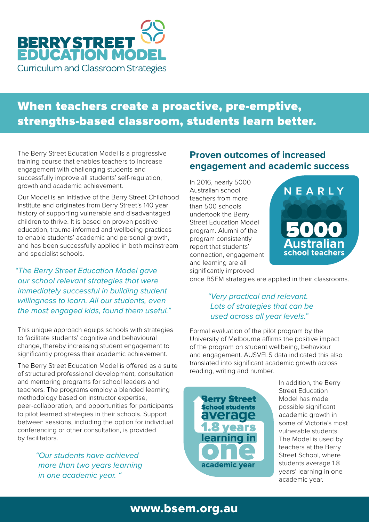

## When teachers create a proactive, pre-emptive, strengths-based classroom, students learn better.

The Berry Street Education Model is a progressive training course that enables teachers to increase engagement with challenging students and successfully improve all students' self-regulation, growth and academic achievement.

Our Model is an initiative of the Berry Street Childhood Institute and originates from Berry Street's 140 year history of supporting vulnerable and disadvantaged children to thrive. It is based on proven positive education, trauma-informed and wellbeing practices to enable students' academic and personal growth, and has been successfully applied in both mainstream and specialist schools.

*"The Berry Street Education Model gave our school relevant strategies that were immediately successful in building student willingness to learn. All our students, even the most engaged kids, found them useful."* 

This unique approach equips schools with strategies to facilitate students' cognitive and behavioural change, thereby increasing student engagement to significantly progress their academic achievement.

The Berry Street Education Model is offered as a suite of structured professional development, consultation and mentoring programs for school leaders and teachers. The programs employ a blended learning methodology based on instructor expertise, peer-collaboration, and opportunities for participants to pilot learned strategies in their schools. Support between sessions, including the option for individual conferencing or other consultation, is provided by facilitators.

> *"Our students have achieved more than two years learning in one academic year. "*

#### **Proven outcomes of increased engagement and academic success**

In 2016, nearly 5000 Australian school teachers from more than 500 schools undertook the Berry Street Education Model program. Alumni of the program consistently report that students' connection, engagement and learning are all significantly improved



once BSEM strategies are applied in their classrooms.

#### *"Very practical and relevant. Lots of strategies that can be used across all year levels."*

Formal evaluation of the pilot program by the University of Melbourne affirms the positive impact of the program on student wellbeing, behaviour and engagement. AUSVELS data indicated this also translated into significant academic growth across reading, writing and number.



In addition, the Berry Street Education Model has made possible significant academic growth in some of Victoria's most vulnerable students. The Model is used by teachers at the Berry Street School, where students average 1.8 years' learning in one academic year.

### www.bsem.org.au